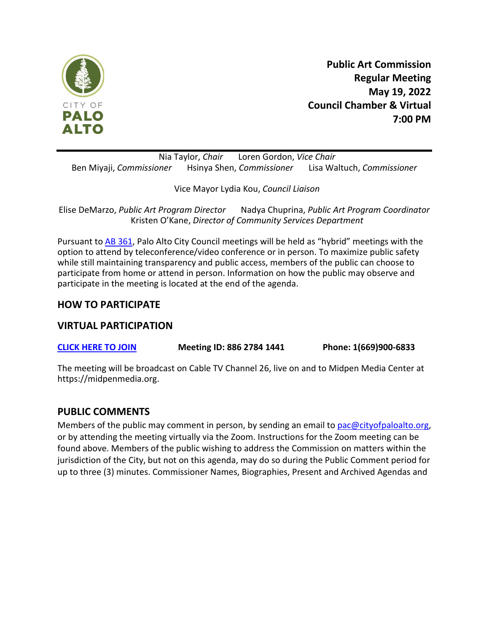

**Public Art Commission Regular Meeting May 19, 2022 Council Chamber & Virtual 7:00 PM**

Nia Taylor, *Chair* Loren Gordon, *Vice Chair* Ben Miyaji, *Commissioner* Hsinya Shen, *Commissioner* Lisa Waltuch, *Commissioner*

Vice Mayor Lydia Kou, *Council Liaison*

Elise DeMarzo, *Public Art Program Director* Nadya Chuprina, *Public Art Program Coordinator* Kristen O'Kane, *Director of Community Services Department*

Pursuant to [AB 361,](https://leginfo.legislature.ca.gov/faces/billNavClient.xhtml?bill_id=202120220AB361) Palo Alto City Council meetings will be held as "hybrid" meetings with the option to attend by teleconference/video conference or in person. To maximize public safety while still maintaining transparency and public access, members of the public can choose to participate from home or attend in person. Information on how the public may observe and participate in the meeting is located at the end of the agenda.

## **HOW TO PARTICIPATE**

## **VIRTUAL PARTICIPATION**

**[CLICK HERE TO JOIN](https://zoom.us/join) Meeting ID: 886 2784 1441 Phone: 1(669)900-6833**

The meeting will be broadcast on Cable TV Channel 26, live on and to Midpen Media Center at https://midpenmedia.org.

#### **PUBLIC COMMENTS**

Members of the public may comment in person, by sending an email to [pac@cityofpaloalto.org,](mailto:pac@cityofpaloalto.org) or by attending the meeting virtually via the Zoom. Instructions for the Zoom meeting can be found above. Members of the public wishing to address the Commission on matters within the jurisdiction of the City, but not on this agenda, may do so during the Public Comment period for up to three (3) minutes. Commissioner Names, Biographies, Present and Archived Agendas and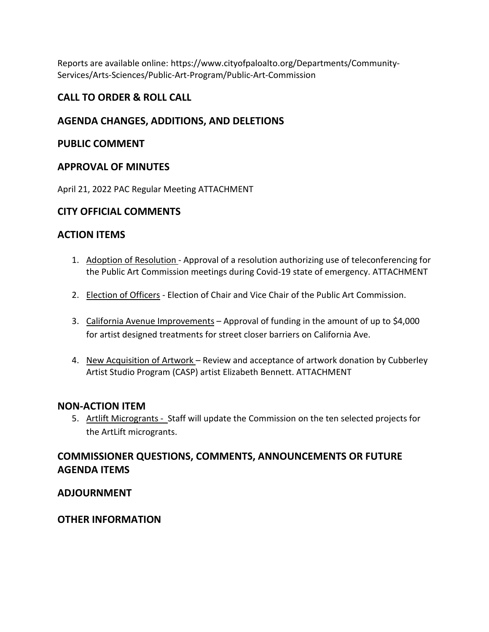Reports are available online: https://www.cityofpaloalto.org/Departments/Community-Services/Arts-Sciences/Public-Art-Program/Public-Art-Commission

# **CALL TO ORDER & ROLL CALL**

# **AGENDA CHANGES, ADDITIONS, AND DELETIONS**

## **PUBLIC COMMENT**

## **APPROVAL OF MINUTES**

April 21, 2022 PAC Regular Meetin[g ATTACHMENT](https://www.cityofpaloalto.org/files/assets/public/agendas-minutes-reports/agendas-minutes/public-art-commission/2022/april-21-2022-pac-minutes.pdf)

## **CITY OFFICIAL COMMENTS**

## **ACTION ITEMS**

- 1. Adoption of Resolution Approval of a resolution authorizing use of teleconferencing for the Public Art Commission meetings during Covid-19 state of emergency. [ATTACHMENT](https://www.cityofpaloalto.org/files/assets/public/community-services/public-art-program/staff-reports-and-docs-for-pac/pac-staff-report-adoption-of-findings-for-teleconferenced-meetings.pdf)
- 2. Election of Officers Election of Chair and Vice Chair of the Public Art Commission.
- 3. California Avenue Improvements Approval of funding in the amount of up to \$4,000 for artist designed treatments for street closer barriers on California Ave.
- 4. New Acquisition of Artwork Review and acceptance of artwork donation by Cubberley Artist Studio Program (CASP) artist Elizabeth Bennet[t. ATTACHMENT](https://www.cityofpaloalto.org/files/assets/public/community-services/public-art-program/staff-reports-and-docs-for-pac/pac-staff-report-item-4-casp-donations-by-elizabeth-bennett-may-2022.pdf)

#### **NON-ACTION ITEM**

5. Artlift Microgrants - Staff will update the Commission on the ten selected projects for the ArtLift microgrants.

# **COMMISSIONER QUESTIONS, COMMENTS, ANNOUNCEMENTS OR FUTURE AGENDA ITEMS**

#### **ADJOURNMENT**

#### **OTHER INFORMATION**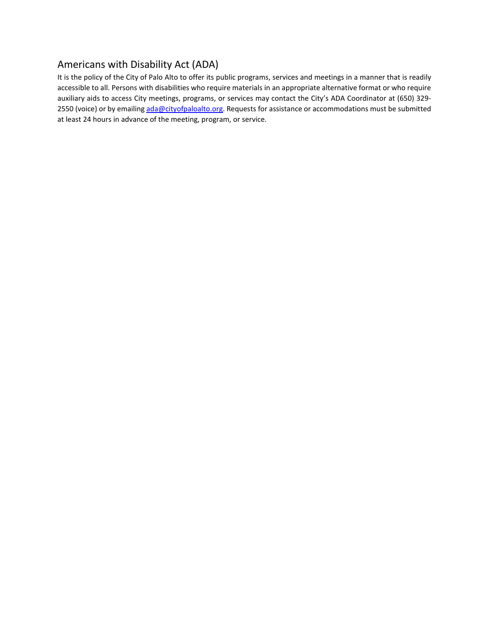# Americans with Disability Act (ADA)

It is the policy of the City of Palo Alto to offer its public programs, services and meetings in a manner that is readily accessible to all. Persons with disabilities who require materials in an appropriate alternative format or who require auxiliary aids to access City meetings, programs, or services may contact the City's ADA Coordinator at (650) 329- 2550 (voice) or by emailing ada@cityofpaloalto.org. Requests for assistance or accommodations must be submitted at least 24 hours in advance of the meeting, program, or service.